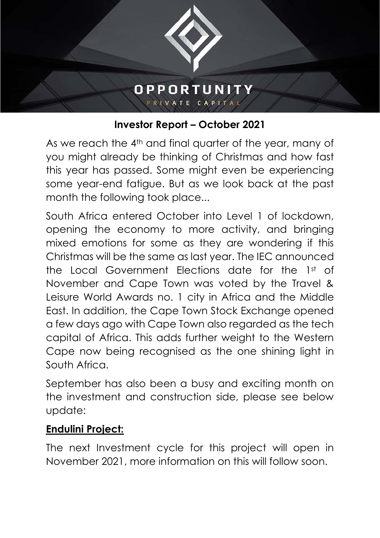

## **Investor Report – October 2021**

As we reach the 4<sup>th</sup> and final quarter of the year, many of you might already be thinking of Christmas and how fast this year has passed. Some might even be experiencing some year-end fatigue. But as we look back at the past month the following took place...

South Africa entered October into Level 1 of lockdown, opening the economy to more activity, and bringing mixed emotions for some as they are wondering if this Christmas will be the same as last year. The IEC announced the Local Government Elections date for the 1st of November and Cape Town was voted by the Travel & Leisure World Awards no. 1 city in Africa and the Middle East. In addition, the Cape Town Stock Exchange opened a few days ago with Cape Town also regarded as the tech capital of Africa. This adds further weight to the Western Cape now being recognised as the one shining light in South Africa.

September has also been a busy and exciting month on the investment and construction side, please see below update:

## **Endulini Project:**

The next Investment cycle for this project will open in November 2021, more information on this will follow soon.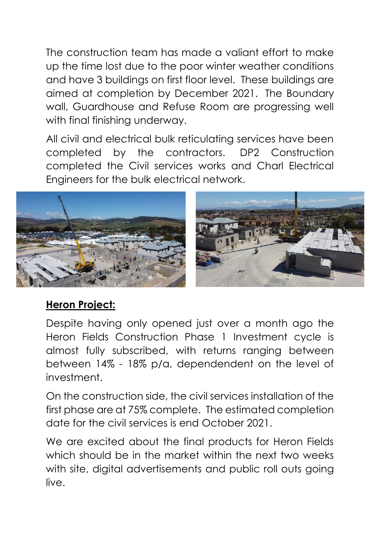The construction team has made a valiant effort to make up the time lost due to the poor winter weather conditions and have 3 buildings on first floor level. These buildings are aimed at completion by December 2021. The Boundary wall, Guardhouse and Refuse Room are progressing well with final finishing underway.

All civil and electrical bulk reticulating services have been completed by the contractors. DP2 Construction completed the Civil services works and Charl Electrical Engineers for the bulk electrical network.



## **Heron Project:**

Despite having only opened just over a month ago the Heron Fields Construction Phase 1 Investment cycle is almost fully subscribed, with returns ranging between between 14% - 18% p/a, dependendent on the level of investment.

On the construction side, the civil services installation of the first phase are at 75% complete. The estimated completion date for the civil services is end October 2021.

We are excited about the final products for Heron Fields which should be in the market within the next two weeks with site, digital advertisements and public roll outs going live.